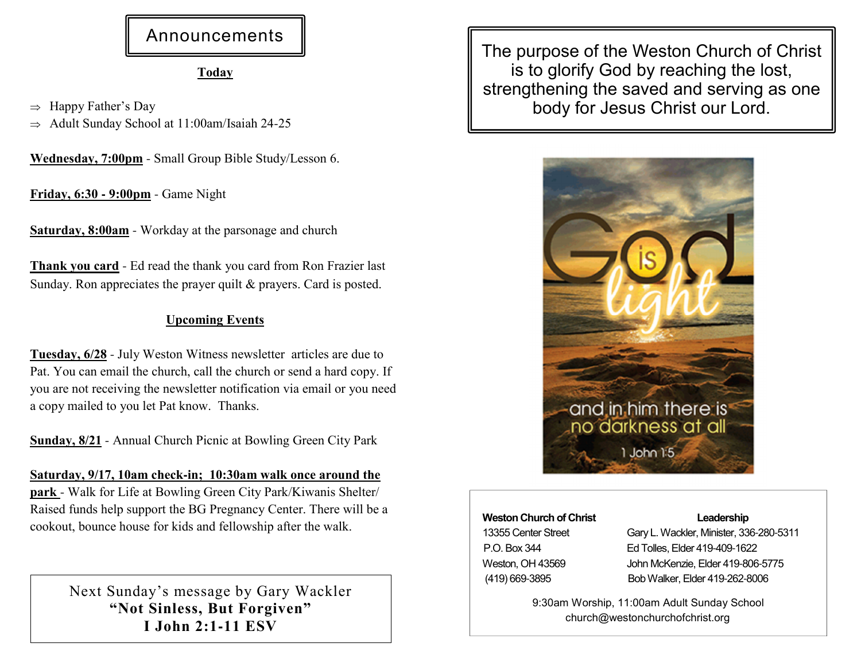# Announcements

### Today

 $\Rightarrow$  Happy Father's Day  $\Rightarrow$  Adult Sunday School at 11:00am/Isaiah 24-25

Wednesday, 7:00pm - Small Group Bible Study/Lesson 6.

Friday, 6:30 **-** 9:00pm - Game Night

<mark>Saturday, 8:00am</mark> - Workday at the parsonage and church

Thank you card - Ed read the thank you card from Ron Frazier last Sunday. Ron appreciates the prayer quilt & prayers. Card is posted.

### Upcoming Events

Tuesday, 6/28 - July Weston Witness newsletter articles are due to Pat. You can email the church, call the church or send a hard copy. If you are not receiving the newsletter notification via email or you need a copy mailed to you let Pat know. Thanks.

Sunday, 8/21 - Annual Church Picnic at Bowling Green City Park

Saturday, 9/17, 10am check**-**in; 10:30am walk once around the park - Walk for Life at Bowling Green City Park/Kiwanis Shelter/Raised funds help support the BG Pregnancy Center. There will be a cookout, bounce house for kids and fellowship after the walk.

> Next Sunday's message by Gary Wackler"Not Sinless, But Forgiven"I John 2:1**-**11 ESV

The purpose of the Weston Church of Christ is to glorify God by reaching the lost, strengthening the saved and serving as one body for Jesus Christ our Lord.



#### Weston Church of Christ

13355 Center StreetP.O. Box 344 Weston, OH 43569(419) 669-3895

#### Leadership

 Gary L. Wackler, Minister, 336-280-Ed Tolles, Elder 419-409- John McKenzie, Elder 419-806-Bob Walker, Elder 419-262-

9:30am Worship, 11:00am Adult Sunday Schoolchurch@westonchurchofchrist.org